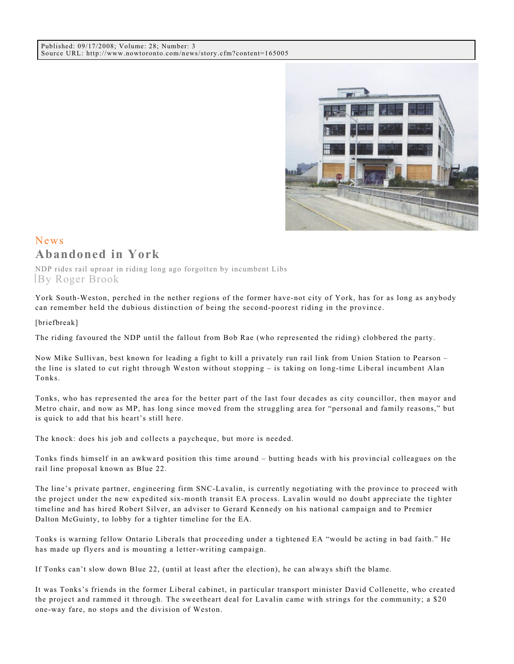

## News **Abandoned in York**

NDP rides rail uproar in riding long ago forgotten by incumbent Libs By Roger Brook

York South-Weston, perched in the nether regions of the former have-not city of York, has for as long as anybody can remember held the dubious distinction of being the second-poorest riding in the province.

## [briefbreak]

The riding favoured the NDP until the fallout from Bob Rae (who represented the riding) clobbered the party.

Now Mike Sullivan, best known for leading a fight to kill a privately run rail link from Union Station to Pearson – the line is slated to cut right through Weston without stopping – is taking on long-time Liberal incumbent Alan Tonks.

Tonks, who has represented the area for the better part of the last four decades as city councillor, then mayor and Metro chair, and now as MP, has long since moved from the struggling area for "personal and family reasons," but is quick to add that his heart's still here.

The knock: does his job and collects a paycheque, but more is needed.

Tonks finds himself in an awkward position this time around – butting heads with his provincial colleagues on the rail line proposal known as Blue 22.

The line's private partner, engineering firm SNC-Lavalin, is currently negotiating with the province to proceed with the project under the new expedited six-month transit EA process. Lavalin would no doubt appreciate the tighter timeline and has hired Robert Silver, an adviser to Gerard Kennedy on his national campaign and to Premier Dalton McGuinty, to lobby for a tighter timeline for the EA.

Tonks is warning fellow Ontario Liberals that proceeding under a tightened EA "would be acting in bad faith." He has made up flyers and is mounting a letter-writing campaign.

If Tonks can't slow down Blue 22, (until at least after the election), he can always shift the blame.

It was Tonks's friends in the former Liberal cabinet, in particular transport minister David Collenette, who created the project and rammed it through. The sweetheart deal for Lavalin came with strings for the community; a \$20 one-way fare, no stops and the division of Weston.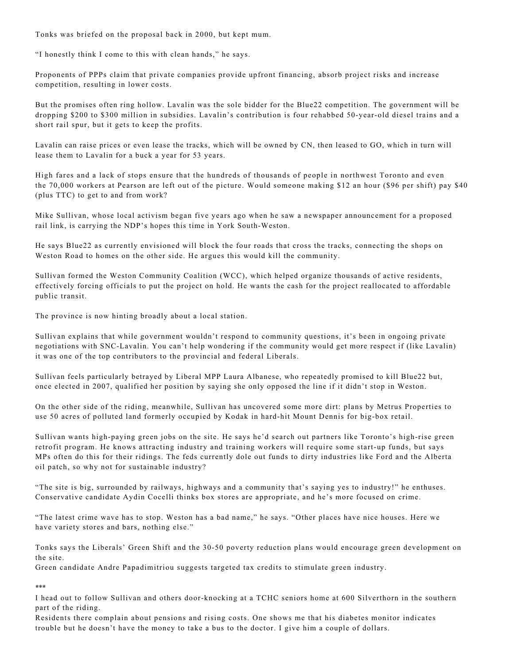Tonks was briefed on the proposal back in 2000, but kept mum.

"I honestly think I come to this with clean hands," he says.

Proponents of PPPs claim that private companies provide upfront financing, absorb project risks and increase competition, resulting in lower costs.

But the promises often ring hollow. Lavalin was the sole bidder for the Blue22 competition. The government will be dropping \$200 to \$300 million in subsidies. Lavalin's contribution is four rehabbed 50-year-old diesel trains and a short rail spur, but it gets to keep the profits.

Lavalin can raise prices or even lease the tracks, which will be owned by CN, then leased to GO, which in turn will lease them to Lavalin for a buck a year for 53 years.

High fares and a lack of stops ensure that the hundreds of thousands of people in northwest Toronto and even the 70,000 workers at Pearson are left out of the picture. Would someone making \$12 an hour (\$96 per shift) pay \$40 (plus TTC) to get to and from work?

Mike Sullivan, whose local activism began five years ago when he saw a newspaper announcement for a proposed rail link, is carrying the NDP's hopes this time in York South-Weston.

He says Blue22 as currently envisioned will block the four roads that cross the tracks, connecting the shops on Weston Road to homes on the other side. He argues this would kill the community.

Sullivan formed the Weston Community Coalition (WCC), which helped organize thousands of active residents, effectively forcing officials to put the project on hold. He wants the cash for the project reallocated to affordable public transit.

The province is now hinting broadly about a local station.

Sullivan explains that while government wouldn't respond to community questions, it's been in ongoing private negotiations with SNC-Lavalin. You can't help wondering if the community would get more respect if (like Lavalin) it was one of the top contributors to the provincial and federal Liberals.

Sullivan feels particularly betrayed by Liberal MPP Laura Albanese, who repeatedly promised to kill Blue22 but, once elected in 2007, qualified her position by saying she only opposed the line if it didn't stop in Weston.

On the other side of the riding, meanwhile, Sullivan has uncovered some more dirt: plans by Metrus Properties to use 50 acres of polluted land formerly occupied by Kodak in hard-hit Mount Dennis for big-box retail.

Sullivan wants high-paying green jobs on the site. He says he'd search out partners like Toronto's high-rise green retrofit program. He knows attracting industry and training workers will require some start-up funds, but says MPs often do this for their ridings. The feds currently dole out funds to dirty industries like Ford and the Alberta oil patch, so why not for sustainable industry?

"The site is big, surrounded by railways, highways and a community that's saying yes to industry!" he enthuses. Conservative candidate Aydin Cocelli thinks box stores are appropriate, and he's more focused on crime.

"The latest crime wave has to stop. Weston has a bad name," he says. "Other places have nice houses. Here we have variety stores and bars, nothing else."

Tonks says the Liberals' Green Shift and the 30-50 poverty reduction plans would encourage green development on the site.

Green candidate Andre Papadimitriou suggests targeted tax credits to stimulate green industry.

## \*\*\*

I head out to follow Sullivan and others door-knocking at a TCHC seniors home at 600 Silverthorn in the southern part of the riding.

Residents there complain about pensions and rising costs. One shows me that his diabetes monitor indicates trouble but he doesn't have the money to take a bus to the doctor. I give him a couple of dollars.